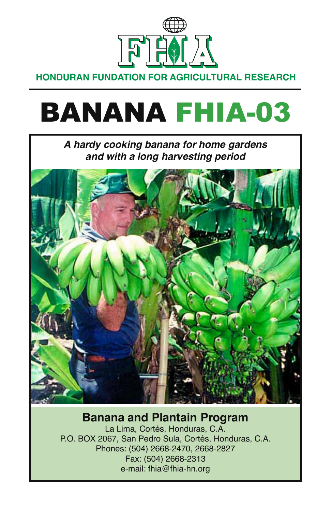

**HONDURAN FUNDATION FOR AGRICULTURAL RESEARCH**

# BANANA FHIA-03

*A hardy cooking banana for home gardens and with a long harvesting period*



## **Banana and Plantain Program**

La Lima, Cortés, Honduras, C.A. P.O. BOX 2067, San Pedro Sula, Cortés, Honduras, C.A. Phones: (504) 2668-2470, 2668-2827 Fax: (504) 2668-2313 e-mail: fhia@fhia-hn.org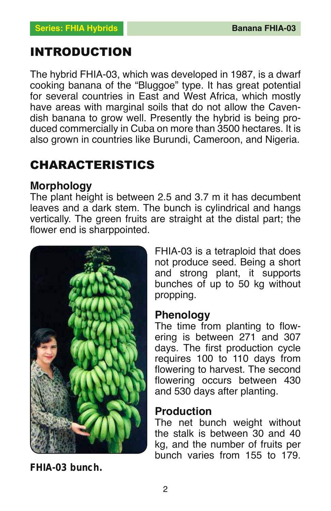## INTRODUCTION

The hybrid FHIA-03, which was developed in 1987, is a dwarf cooking banana of the "Bluggoe" type. It has great potential for several countries in East and West Africa, which mostly have areas with marginal soils that do not allow the Cavendish banana to grow well. Presently the hybrid is being produced commercially in Cuba on more than 3500 hectares. It is also grown in countries like Burundi, Cameroon, and Nigeria.

# CHARACTERISTICS

#### **Morphology**

The plant height is between 2.5 and 3.7 m it has decumbent leaves and a dark stem. The bunch is cylindrical and hangs vertically. The green fruits are straight at the distal part; the flower end is sharppointed.



**FHIA-03 bunch.**

FHIA-03 is a tetraploid that does not produce seed. Being a short and strong plant, it supports bunches of up to 50 kg without propping.

#### **Phenology**

The time from planting to flowering is between 271 and 307 days. The first production cycle requires 100 to 110 days from flowering to harvest. The second flowering occurs between 430 and 530 days after planting.

#### **Production**

The net bunch weight without the stalk is between 30 and 40 kg, and the number of fruits per bunch varies from 155 to 179.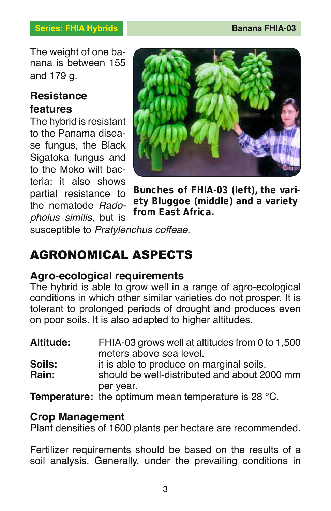The weight of one banana is between 155 and 179 g.

### **Resistance features**

The hybrid is resistant to the Panama disease fungus, the Black Sigatoka fungus and to the Moko wilt bacteria; it also shows partial resistance to the nematode *Radopholus similis*, but is



**Bunches of FHIA-03 (left), the variety Bluggoe (middle) and a variety from East Africa.**

susceptible to *Pratylenchus coffeae*.

# AGRONOMICAL ASPECTS

## **Agro-ecological requirements**

The hybrid is able to grow well in a range of agro-ecological conditions in which other similar varieties do not prosper. It is tolerant to prolonged periods of drought and produces even on poor soils. It is also adapted to higher altitudes.

| Altitude:       | FHIA-03 grows well at altitudes from 0 to 1,500<br>meters above sea level.                            |
|-----------------|-------------------------------------------------------------------------------------------------------|
| Soils:<br>Rain: | it is able to produce on marginal soils.<br>should be well-distributed and about 2000 mm<br>per year. |
|                 | <b>Temperature:</b> the optimum mean temperature is 28 $^{\circ}$ C.                                  |

#### **Crop Management**

Plant densities of 1600 plants per hectare are recommended.

Fertilizer requirements should be based on the results of a soil analysis. Generally, under the prevailing conditions in